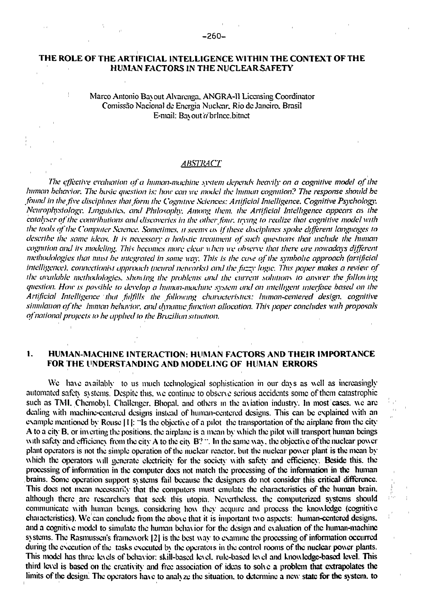### THE ROLE OF THE ARTIFICIAL INTELLIGENCE WITHIN THE CONTEXT OF THE HUMAN FACTORS *IN* THE NUCLEAR SAFETY

 $\mathbf{r}$ 

ţ.

Marco Antonio Bay out Alvarcnga. ANGRA-11 Licensing Coordinator Comissao Nacional dc Encrgia Nuclear. Rio dc Janeiro. Brasil E-mail: Bayout a brlncc.bitnet

# *ABSTRACT*

*The effective evaluation of a human-machine system depends hecnily on a cognitive model of the human behenior. The basic question is: how can we model the human cognition? The response should he found in the five disciplines- that form the Cognitive Sciences: Artificial Intelligence. Cognitive Ps}'cholog\\ Neurophysiology. Linguistics, and Philosophy. Among them, the Artificial Intelligence appears as the*  catalyser of the contributions and discoveries in the other four, trying to realize that cognitive model with *the tools of the Computer Science. Sometimes, it seems as [ifthe.se d](http://ifthe.se)isciplines spoke different languages to describe the same ideas. It is nccessair a holistic treatment of such questions that include the human*  cognition and its modeling. This becomes more clear when we observe that there are nowadays different *methodologies that must he integrated in some way. This is the case of the symbolic approach (artificial*  intelligence), connectionist approach (neural networks) and the fuzzy logic. This paper makes a review of *the available methodologies, show ing the problems and the current solutions to answer the follow ing question. How is possible to develop a human-machine system and an intelligent interface based on the Artificial Intelligence that fulfills the following characteristics: human-centered design, cognitive simulation of the human behavior, and dynamic function allocation. This paper concludes with proposals of national projects to he applied to the Brazilian situation.* 

# 1. HUMAN-MACHINE INTERACTION: HUMAN FACTORS AND THEIR IMPORTANCE FOR THE UNDERSTANDING AND MODELING OF HUMAN ERRORS

We have availably to us much technological sophistication in our days as well as increasingly automated safety systems. Despite this, we continue to observe serious accidents some of them catastrophic such as TMI. Chernobyl. Challenger. Bhopal. and others in the aviation industry. In most cases, we are dealing with machine-centered designs instead of human-centered designs. This can be explained with an example mentioned by Rouse 111: "Is the objective of a pilot the transportation of the airplane from the city A to a city B. or imciting the positions, the airplane is a mean by which the pilot will transport human beings with safety and efficiency from the city A to the city B? ". In the same way, the objective of the nuclear power plant operators is not the simple operation of the nuclear reactor, but the nuclear power plant is the mean by which the operators will generate electricity for the society with safety and efficiency. Beside this, the processing of information in the computer does not match the processing of the information in the human brains. Some operation support systems fail because the designers do not consider this critical difference. This does not mean necessarily that the computers must emulate the characteristics of the human brain, although there are researchers that seek this utopia. Nevertheless, the computerized systems should communicate with human beings, considering how they acquire and process the knowledge (cognitive chaiactcristics). We can conclude from the above that it is important two aspects: human-centered designs, and a cognitive model to simulate the human behavior for the design and evaluation of the human-machine systems. The Rasmussen's framework [2] is the best way to examine the processing of information occurred during the execution of the tasks executed by the operators in the control rooms of the nuclear power plants. This model has three levels of behavior: skill-based level, rule-based level and knowledge-based level. This third level is based on the creativity and free association of ideas to solve a problem that extrapolates the limits of the design. The operators have to analyze the situation, to determine a new state for the system, to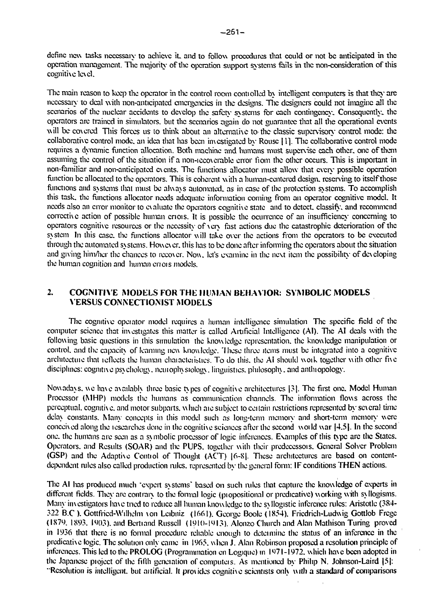dcfinc new tasks necessary to achieve it and to follow procedures that could or not be anticipated in the operation management. The majority of the operation support systems fails in the non-consideration of this cognitive level.

The main reason to keep the operator in the control room controlled by intelligent computers is that they are necessary to deal with non-anticipated emergencies in the designs. The designers could not imagine all the scenarios of the nuclear accidents to develop the safety systems for each contingency. Consequently, the operators arc trained in simulators, but the scenarios again do not guarantee that all the operational events will be covered. This forces us to think about an alternative to the classic supervisory control mode: the collaborative control mode, an idea that has been investigated by Rouse 11]. The collaborative control mode requires a dynamic function allocation. Both machine and humans must supervise each other, one of them assuming the control of the situation if a non-icco\crable error from the other occurs. This is important in non-familiar and non-anticipated events. The functions allocator must allow that every possible operation function be allocated to the operators. This is coherent with a human-centered design, reserving to itself those functions and systems that must be always automated, as in case of the protection systems. To accomplish this task, the functions allocator needs adequate information coming from an operator cognitive model. It needs also an error monitor to evaluate the operators cognitive state and to detect, classify, and recommend corrective action of possible human criois. It is possible the ocurrence of an insufficiency concerning to operators cognitive resources or the necessity of very fast actions due the catastrophic deterioration of the system In this case, the functions allocator will take over the actions from the operators to be executed through the automated systems. However, this has to be done after informing the operators about the situation and giving him/her the chances to recover. Now. let's examine in the next item the possibility of developing the human cognition and human errors models.

# 2. COGNITIVE MODELS FOR THE HUMAN BEHAVIOR: SYMBOLIC MODELS VERSUS CONNECTIONIST MODELS

The cognitive operator model requires a human intelligence simulation The specific field of the computer science that investigates this matter is called Artificial Intelligence (AI). The AI deals with the following basic questions in this simulation the knowledge representation, the knowledge manipulation or control, and the capacity of learning new knowledge. 'Ihese three items must be integrated into a cognitive architectuie that leflects the human characteristics. To do this, the AI should woik together with other five disciplines: cognitive psy chology. neurophysiology, linguistics, philosophy, and anthropology.

Nowadays, we have availably three basic types of cognitive architectures |3|. The first one. Model Human Processor (MHP) models the humans as communication channels. The information flows across the perceptual, cognitiv e. and motor subparts, which aie subject to certain restrictions represented by several time delay constants. Many concepts in this model such as long-term memory and short-term memory were conceived along the lesearches done in the cognitive sciences after the second woild war |4.5|. In the second one. the humans are seen as a sy mbolic processor of logic inferences. Examples of this type arc the States. Operators, and Results (SOAR) and the PUPS, together with their predeccssois. General Solver Problem (GSP) and the Adaptive Control of Thought (ACT) |6-8|. These architectures arc based on contentdependent rules also called production rules, represented by the general form: IF conditions THEN actions.

The AI has produced much "expert systems' based on such rules that capture the knowledge of experts in different fields. They are contrary to the formal logic (piopositional or predicative) working with syllogisms. Many investigators have tried to reduce all human knowledge to the syllogistic inference rales: Aristotle (384- 322 B.C ). Gottfricd-Wilhelm von Leibniz (1661). George Boole (1854). Fricdrich-Ludvvig Gottlob Frcgc (1879. 1893. 1903). and Bcrtiand Russell (1910-1913). Alonzo Church and Alan Mathison Turing proved in 1936 that there is no formal procedure reliable enough to deteimine the status of an inference in the predicative logic. The solution only came in 1965. when J. Alan Robinson proposed a resolution principle of inferences. This led to the PROLOG (Programmation en Logiquc) in 1971-1972. which have been adopted in the Japanese project of the fifth generation of computus. As mentioned by Philip N. Johnson-Laird |5|: "Resolution is intelligent, but artificial. It provides cognitive scientists only with a standard of comparisons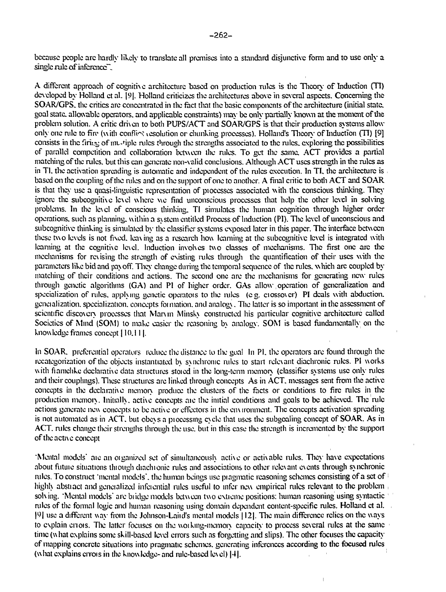bccausc people arc hardly likely to translate all premises into a standard disjunctive form and to use only a single rule of inference".

A different approach of cognitive architecture based on production rules is the Theory of Induction (TI) developed by Holland ct al. |9|. "Holland criticizes the architectures above in several aspects. Concerning the SOAR/GPS. the critics are concentrated in the fact that the basic components of the architecture (initial state, goal state, allowable operators, and applicable constraints) may be only partially known at die moment of the problem solution. A critic driven to both PUPS/ACT and SOAR/GPS is that their production systems allowonly one rule to fire (with conflict resolution or chunking processes). Holland's Theory of Induction (TI) [9] consists in the firing of nu-tiple rules through the strengths associated to the rules, exploring the possibilities of parallel competition and collaboration between the rules. To get the same. ACT provides a partial matching of the rules, but this can generate non-valid conclusions. Although ACT uses strength in the rules as in TI, the activation spreading is automatic and independent of the rules execution. In TI, the architecture is based on the coupling of the rules and on the support of one to another. A final critic to both ACT and SOAR is that they use a quasi-linguistic representation of pioccsses associated with the conscious dunking. They ignore the subcognitiv c le\el where we find unconscious processes that help the other level in solving problems. In the level of conscious thinking. TI simulates the human cognition through higher order operations, such as planning, within a s\stcm entitled Process of Induction (PI). The level of unconscious and subcognitive thinking is simulated by the classifier systems exposed later in this paper. The interface between these two levels is not fixed, leaving as a research how learning at the subcognitivc level is integrated with learning at the cognitive level. Induction involves two classes of mechanisms. The first one arc die mechanisms for revising the strength of existing rules through the quantification of their uses with the parameters like bid and pay off. They change during the temporal sequence of the rules, which are coupled by matching of their conditions and actions. The second one are the mechanisms for generating new rules through genetic algorithms (GA) and PI of higher order. GAs allow operation of generalization and specialization of rules, applying genetic operatois to the rules (e.g. ciossover) PI deals with abduction, geneialization. specialization, concepts fomiation. and analog). The latter is so important in the assessment of scientific discovery processes that Marvin Minsky constructed his particular cognitive architecture called Societies of Mind (SOM) to make easier the reasoning bv analogy. SOM is based fundamentally on the knowledge frames concept 110.111.

In SOAR, preferential operators reduce the distance to the goal In PI. the operators are found through the recategorization of the objects instantiated by synchronic rules to start relevant diachronic rules. PI works with fiamclike declarative data structures stoied in the long-term memory (classifier systems use only rules and their couplings). These structures are linked through concepts As in ACT. messages sent from the active concepts in the declarative memoiy produce the clusters of the facts or conditions to fire rules in the production memory Initially active concepts aie the initial conditions and goals to be achieved. The rule actions generate new concepts to be acti\e or effectors in the cm ironment. The concepts activation spreading is not automated as in ACT. but obevs a piocessmg evele that uses the subgoaling concept of SOAR. As in ACT. rules change their strengths through the use. but in this case the strength is incremented by the support of the activ e concept

"Mental models" are an organized set of simultaneously active or activable rules. They have expectations about future situations through diachronic rules and associations to other relevant events through synchronic rules. To construct 'mental models", the human beings use pragmatic reasoning schemes consisting of a set of highly abstract and generalized inferential rules useful to infer new empirical rules relevant to the problem solving. "Mental models' are bridge models between two extreme positions: human reasoning using syntactic niles of the formal logic and human reasoning using domain dependent content-specific rules. Holland ct al. | ° | use a different way from the Jolinson-Laiid's mental models 112|. The main difference relics on the ways to explain errors. The latter focuses on the working-memory capacity to process several rules at the same time (what explains some skill-based level errors such as forgetting and slips). The other focuses the capacity of mapping concrete situations into pragmatic schemes, generating inferences according to the focused rules (what explains errois in the knowledge- and rule-based level) [4].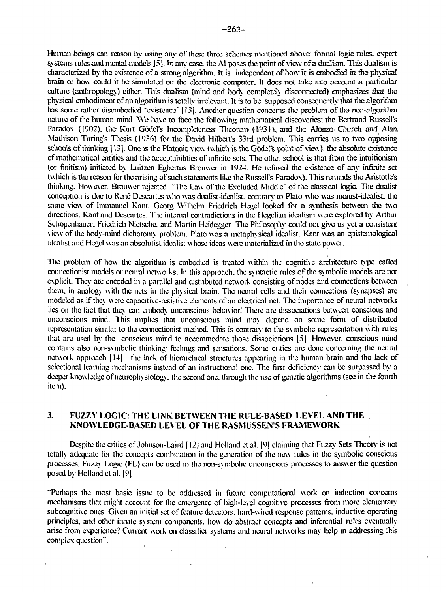Hunian beings can reason by using any of these three schemes mentioned above: formal logic rules, expert systems rules and mental models ]5]. In any case, the Al poses the point of view of a dualism. This dualism is characterized by the existence of a strong algorithm. It is independent of how it is embodied in the physical brain or how could it be simulated on the electronic computer. It docs not take into account a particular culture (anthropology) cither. This dualism (mind and body completely disconnected) emphasizes that the physical embodiment of an algorithm is totally irrelevant. It is to be supposed consequently mat the algorithm has some rather disembodied 'existence' 1I3|. Another question concerns the problem of the non-algoritlun nature of the human mind We have to face the following mathematical discoveries: the Bertrand Russell's Paradox (1902), the Kurt Gödel's Incompleteness. Theorem (1931), and the Alonzo Church, and Alan, Mathison Turing's Thesis (1936) for the David Hilbcrt's 33rd problem. This carries us to two opposing schools of thinking [13]. One is the Platonic view (which is the Gödel's point of view), the absolute existence of mathematical entities and the acceptabilities of infinite sets. The other school is that from the intuitionism (or finitism) initiated by Luitzen Egbcrtus Brouwcr in 1924. He refused the existence of any infinite set (which is the reason for the arising of such statements like the Russell's Paradox). This reminds the Aristotle's thinking. Howexer. Brouwcr rejected 'The Law of the Excluded Middle' of the classical logic. The dualist conception is due to Rene Descartes who was dualist-idealist, contrary to Plato who was monist-idealisL the same view of lmmanucl Kant. Gcorg Wilhclm Fricdrich Hegel looked for a synthesis between the two directions. Kant and Descartes. The internal contradictions in the Hegelian idealism were explored by Arthur Schopenhauer. Fricdrich Nictsche. and Martin Heidegger. The Philosophy could not give us yet a consistent [\ic\v](file:///ic/v) of the body-mind dichotomy problem. Plato was a metaphysical idealist Kant was an cpistemological idealist and Hegel was an absolutist idealist whose ideas were materialized in the state power.

The problem of how the algorithm is embodied is treated within the cognitive architecture type called conncctionist models or neural netwoiks. In this appioaeh. the syntactic rules of the symbolic models arc not explicit. They are encoded in a parallel and distributed network consisting of nodes and connections between them, in analogy with the nets in the physical brain. The neural cells and their connections (synapses) arc modeled as if they were capacitive-resistive elements of an electrical net. The importance of neural networks lies on the fact that they can embody unconscious behavior. There are dissociations between conscious and unconscious mind. This implies that unconscious mind may depend on some fomi of distributed representation similar to the connectionist method. This is contrary to the symbolic representation with rules that arc used by the conscious mind to accommodate those dissociations |5|. However, conscious mind contains also non-symbolic thinking' feelings and sensations. Some critics arc done concerning the neural netwoik appioach |14| the lack of hieraichical structures appearing in the human brain and the lack of selectional learning mechanisms instead of an instructional one. The first deficiency can be surpassed by a deeper knowledge of neurophysiology, the second one. through the use of genetic algorithms (see in the fourth item).

# **3. FUZZY LOGIC: THE LINK BETWEEN THE RULE-BASED LEVEL AND THE KNOWLEDGE-BASED LEVEL OF THE RASMUSSENS FRAMEWORK**

Despite the critics of Johnson-Laird 112| and Holland et al. |9) claiming that Fuzzy Sets Theory is not totally adequate for the concepts combination in the generation of the new rules in the symbolic conscious piocesses. Fuzzy Logic (FL) can be used in the non-symbolic unconscious processes to answer the question posed by Holland et al. |9|

"Perhaps the most basic issue to be addiessed in future computational work on induction concerns mechanisms that might account for the emergence of high-level cognitive processes from more elementary subcognitive ones. Given an initial set of feature detectors, hard-wired response patterns, inductive operating principles, and other innate system components, how do abstract concepts and inferential rules eventually arise from experience? Current work on classifier systems and neural nctwoiks may help in addressing Ibis complex question".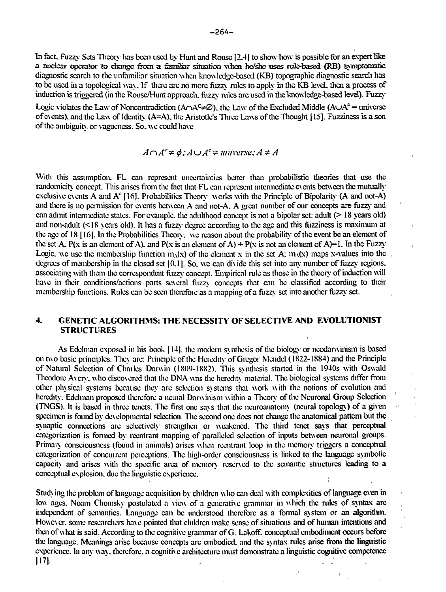In fact. Fuzzy Sets Theory has been used by Hunt and Rouse [2.4] to show how is possible for an expert like a nuclear operates- to change from a familiar situation when he/she uses rule-based (RB) sxmptomatic diagnostic search to the unfamiliar situation when knowledge-based (KB) topographic diagnostic search has to be used in a topological way. If there arc no more fuzzy rules to apply in the KB leveL then a process of induction is triggered (in the Rouse/Hunt approach, fuzzy niles are used in the knowledge-based level). Fuzzy-

Logic violates the Law of Noncontradiction ( $A \cap A^c \neq \emptyset$ ), the Law of the Excluded Middle ( $A \cup A^c =$  universe of c\cnts). and the Law of Identity (A=A). the Aristotle's Three Laws of the Thought [15]. Fuzzincss is a son of the ambiguity or vagueness. So, we could have

$$
A \cap A^{c} \neq \phi
$$
:  $A \cup A^{c} \neq$  *universal*:  $A \neq A$ 

With this assumption. FL can represent uncertainties better than probabilistic theories that use the randomicity concept. This arises from the fact that FL can represent intermediate cycnts between the mutually exclusive events A and  $A<sup>c</sup>$  [16]. Probabilities Theory works with the Principle of Bipolarity (A and not-A) and there is no permission for events between A and not-A. A great number of our concepts are fuzzy and can admit intermediate states. For example, the adulthood concept is not a bipolar set: adult (> 18 years old) and non-adult (<18 years old). It has a fuzzy degree according to the age and this fuzziness is maximum at the age of 18 [ 16|. In the Probabilities Theory, we reason about the probability of the event be an element of the set A, P(x is an element of A), and P(x is an element of A) + P(x is not an element of A)=1. In the Fuzzy Logic. We use the membership function mA(x) of the element x in the set A:  $m_A(x)$  maps x-values into the degrees of membership in the closed set  $[0,1]$ . So, we can divide this set into any number of fuzzy regions, associating with them the correspondent fuzzy concept. Empirical rule as those in the theory of induction will have in their conditions/actions parts several fuzzy concepts that can be classified according to their membership functions. Rules can be seen thcrcfoic as a mapping of a fuzzy set into another fuzzy set.

# **4. GENETIC ALGORITHMS: THE NECESSITY OF SELECTIVE AND EVOLUTIONIST STRUCTURES**

As Edelman exposed in his book [14], the modern synthesis of the biology or neodarwinism is based on two basic principles. They are: Principle of the Hcicdity of Gregor Mendel (1822-1884) and the Principle of Natural Selection of Charles Darwin (1809-1882). This synthesis started in the 1940s with Oswald Theodore A\cry. who discovered that the DNA was the heredity material. The biological systems differ from other physical systems because they are selection systems that work with the notions of evolution and heredity. Edelman proposed therefore a netual Darwinism within a Theory of the Neuronal Group Selection (TNGS). It is based in three tenets. The first one says that the neuroanatomy (neural topology) of a given specimen is found by developmental selection. The second one does not change the anatomical pattern but the synaptic connections are selectively strengthen or weakened. The third tenet says that perceptual categorization is formed by reentrant mapping of paralleled selection of inputs between neuronal groups. Primary consciousness (found in animals) arises when reentrant loop in the memory triggers a conceptual categorization of concurrent perceptions. The high-order consciousness is linked to the language symbolic capacity and arises with the specific area of memory reserved to the semantic structures leading to a conceptual explosion, due the linguistic experience.

Studying the problem of language acquisition by children who can deal with complexities of language even in low ages. Noam Chomsky postulated a view of a generative grammar in which the rules of syntax arc independent of semantics. Language can be understood therefore as a fonnal system or an algorithm. However, some researchers have pointed that children make sense of situations and of human intentions and then of what is said. According to the cognitive grammar of G. Lakoff. conceptual embodiment occurs before the language. Meanings arise because concepts arc embodied, and the syntax rules arise from the linguistic experience. In any way, therefore, a cognitive architecture must demonstrate a linguistic cognitive competence |I7|.

 $\frac{1}{2}$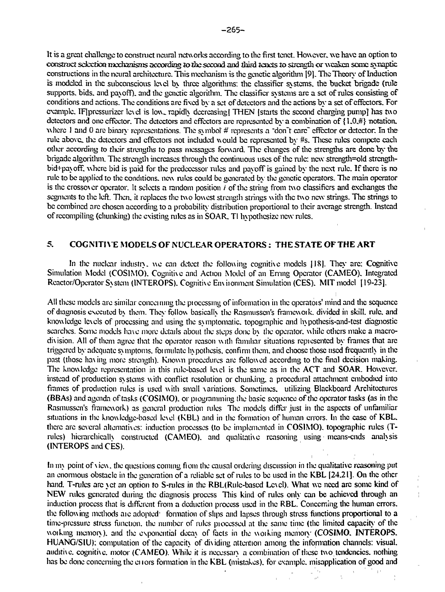It is a great challenge to construct neural networks according to the first tenet. However, we have an option to cmaruei sdectkm nwchanisns *ziccarding to* ibc second and ibird "tenets to strcnstli or weaken some synaptic constructions in the neural architecture. This mechanism is the genetic algorithm [9]. The Theory of Induction is modeled in the subconscious le\cl by three algorithms: the classifier systems, the bucket brigade (rule supports, bids, and payoff), and the genetic algorithm. The classifier systems are a set of Tulcs consisting of conditions and actions. The conditions are fixed by a set of detectors and the actions by a set of effectors. For example. IF pressurizer level is low, rapidly decreasing] THEN [starts the second charging pump] has two detectors and one effector. The detectors and effectors arc represented by a combination of {1.0.#} notation, where 1 and 0 are binary representations. The symbol' # represents a "don't care" effector or detector. In the rule above, the detectors and effectors not included would be represented by #s. These rules compete each other according to their strengths to pass messages forward. The changes of the strengths are done by the brigade algorithm. The strength increases through the continuous uses of the rule: new strcngth=old strcngthbid+payoffl where bid is paid for the predecessor rules and payoff is gained by the next rule. If there is no rule to be applied to the conditions, new rules could be generated by the genetic operators. The main operator is the crossover operator. It selects a random position  $i$  of the string from two classifiers and exchanges the segments to the left. Then, it replaces the two lowest strength strings with the two new strings. The strings to be combined arc chosen according to a probability distribution proportional to their average strength. Instead of recompiling (chunking) the existing rules as in SOAR. TI hypothesize new rules.

# 5. **COGNITIVE MODELS OF NUCLEAR OPERATORS: THE STATE OF THE ART**

In the nuclear industry, we can detect the following cognitive models [18]. They are: Cognitive Simulation Model (COSIMO). Cognitive and Action Model of an Erning Operator (CAMEO). Integrated Reactor/Operator System (1NTEROPS). Cognitive En\ iionment Simulation (CES). MIT model [19-23].

All these models are similar concerning the piocessing of information in the opcratois' mind and the sequence of diagnosis executed by them. They follow basically the Rasmusscn's framewoik. divided in skill, rule, and knowledge levels of processing and using the symptomatic, topographic and hypothesis-and-test diagnostic searches. Some models have more details about the steps done by the operator, while others make a macrodivision. All of them agree that the operator reason with familiar situations rcpiescntcd by frames that arc triggered by adequate symptoms, foimulate hypothesis, confirm them, and choose those used frequently in the past (those ha\ing more strength). Known procedures are followed according to the final decision making. The knowledge representation in this rule-based level is the same as in the ACT and SOAR. However, instead of production systems with conflict resolution or chunking, a procedural attachment embodied into frames of production rules is used with small variations. Sometimes, utilizing Blackboard Architectures (BBAs) and agenda of tasks (COSIMO). or piogramming the basic sequence of the operator tasks (as in the Rasmusscn's framework) as general production rules The models differ just in the aspects of unfamiliar situations in the knowledge-based lc\el (KBL) and in the formation of human errors. In the case of KBL. there arc several alternatives: induction processes (to be implemented in COSIMO). topographic rules (Trules) hierarchically constructed (CAMEO), and qualitative reasoning using means-ends analysis (1NTEROPS and CES).

 $\mathcal{L} = \mathcal{L} \times \mathcal{L}$ In my point of view, the questions coming from the causal ordering discussion in the qualitative reasoning put an enormous obstacle in the generation of a reliable set of ailes to be used in the KBL [24.21]. On the other hand. T-rules are yet an option to S-rules in the RBL(Rule-based Level). What we need are some kind of NEW rules generated during the diagnosis process This kind of rules only can be achieved through an induction process that is different from a deduction process used in the RBL. Concerning the human errors, the following methods aic adopted\* formation of slips and lapses through stress functions proportional to a time-pressure stress function, the number of rules piocessed at the same time (the limited capacity of the woiking memory), and the exponential decay of facts in the woiking memory **(COSIMO. INTEROPS. HUANG/SIU):** computation of the capacity of dividing attention among the information channels: visual, auditive, cognitive, motor (CAMEO). While it is necessary a combination of these two tendencies, nothing has be done concerning the errors formation in the KBL (mistakes), for example, misapplication of good and

A. Gran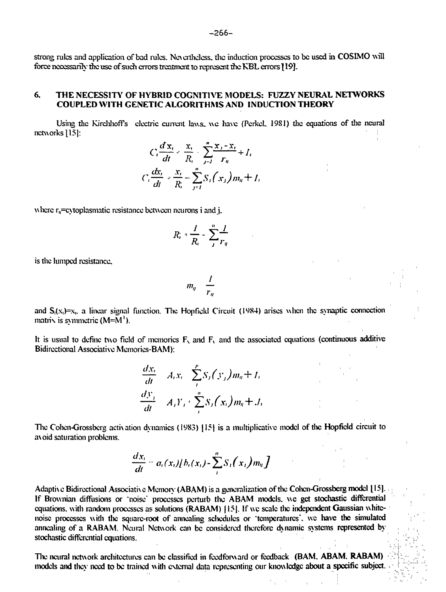strong rules and application of bad rules. Nevertheless, the induction processes to be used in COSIMO will force necessarily the use of such errors treatment to represent the KBL errors *\* 19]-

# 6. THE NECESSITY OF HYBR1D COGNITIVE MODELS: FUZZY NEURAL NETWORKS COUPLED WITH GENETIC ALGORITHMS AND INDUCTION THEORY

Using the Kirchhoffs electric current laws- we have (PerkeL 19S1) the equations of the neural networks 115]:

$$
C_i \frac{dx_i}{dt} = \frac{x_i}{R_i} - \sum_{j=1}^n \frac{x_j - x_j}{r_{ij}} + I_i
$$
  

$$
C_i \frac{dx_i}{dt} = \frac{x_i}{R_i} - \sum_{j=1}^n S_i(x_j) m_{ij} + I_i
$$

where  $r_n$ =cytoplasmatic resistance between neurons i and j.

$$
R_i = \frac{I}{R_i} - \sum_{j}^{n} \frac{I}{r_{ij}}
$$

is the lumped resistance.

$$
m_{ij} = \frac{I}{r_{ij}}
$$

and  $S_i(x_i)=x_i$ , a linear signal function. The Hopfield Circuit (1984) arises when the synaptic connection matrix is symmetric  $(M=M^{\dagger})$ .

It is usual to define two field of memories  $F<sub>x</sub>$  and  $F<sub>y</sub>$  and the associated equations (continuous additive Bidirectional Associative Memorics-BAM):

$$
\frac{dx_i}{dt} = A_i x_i - \sum_{j=1}^{p} S_j(y_j) m_{ij} + I_i
$$
  

$$
\frac{dy_j}{dt} = A_j Y_j + \sum_{j=1}^{n} S_j(x_i) m_{ij} + J_i
$$

The Cohen-Grossberg activation dynamics (1983) [15] is a multiplicative model of the Hopfield circuit to a\oid saturation problems.

$$
\frac{dx_i}{dt}=a_i(x_i)[b_i(x_i)-\sum_i^n S_i(x_i)m_i]
$$

Adaptive Bidirectional Associative Memory (ABAM) is a generalization of the Cohen-Grossberg model [15]. If Biownian diffusions or "noise" processes perturb the ABAM models, we get stochastic differential equations, with random processes as solutions (RABAM) [15]. If we scale the independent Gaussian whitenoise processes with the square-root of annealing schedules or 'temperatures', we have the simulated annealing of a RABAM. Neural Network can be considered therefore dynamic systems represented by stochastic differential equations.

The neural network architectures can be classified in feedforward or feedback (BAM, ABAM, RABAM) models and they need to be trained with external data representing our knowledge about a specific subject.  $\cdot$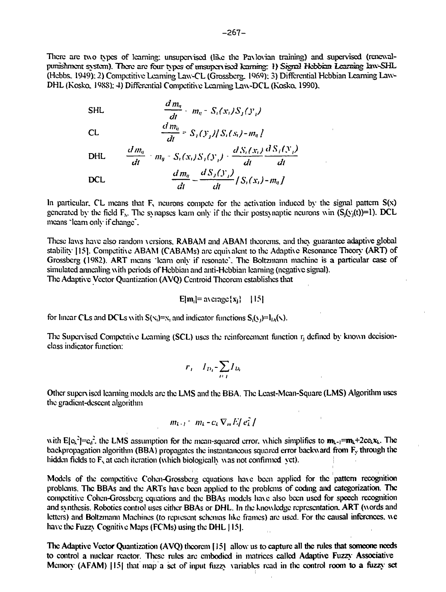There are two types of learning: unsupervised (like the Paxlovian training) and supervised (renewalpurnshment system). There arc four types of nrtsuperviscd learning: i) Signal Hebbim *Lezrriwg* lawsSHL (Hebbs. 1949);2) Competitive Learning Law-CL iGrossberg. 1969); 3) Differential Hcbbian Learning Law-DHL (Kosko. 1988); 4) Differentia] Competitive Learning Law-DCL (Kosko. 1990).

SHL

\n
$$
\frac{d m_{\eta}}{dt} - m_{\eta} = S_{i}(x_{i})S_{j}(y_{i})
$$
\nCL

\n
$$
\frac{d m_{\eta}}{dt} = S_{i}(y_{j})/S_{i}(s_{i}) - m_{\eta}.
$$
\nDHL

\n
$$
\frac{d m_{\eta}}{dt} - m_{\eta} = S_{i}(x_{i})S_{j}(y_{i}) - \frac{d S_{i}(x_{i})}{dt} \frac{d S_{i}(y_{i})}{dt}
$$
\nDCL

\n
$$
\frac{d m_{\eta}}{dt} = \frac{d S_{j}(y_{i})}{dt} / S_{i}(x_{i}) - m_{\eta}.
$$

at at

In particular. CL means that  $F<sub>x</sub>$  neurons compete for the activation induced by the signal pattern  $S(x)$ generated by the field  $F_x$ . The synapses learn only if the their postsynaptic neurons win  $(S_i(y_i(t))=l)$ . DCL means "lcam only if change".

These laws have also random versions, RABAM and ABAM theorems, and they guarantee adaptive global stability [15]. Competitive ABAM (CABAMs) are equivalent to the Adaptive Resonance Theory (ART) of Grossberg (1982). ART means "learn only if resonate". The Boltzmann machine is a particular case of simulated annealing with periods of Hcbbian and anti-Hcbbian learning (negative signal). The Adaptive Vector Quantization (AVQ) Ccntroid Theorem establishes that

$$
E[m_i] = \operatorname{average}\{x_j\} \quad \{15\}
$$

for linear CLs and DCLs with  $S(x_i)=x_i$  and indicator functions  $S_i(x_i)=I_{1i}(\lambda)$ .

The Supervised Competitive Learning (SCL) uses the reinforcement function  $r<sub>i</sub>$  defined by known decisionclass indicator function:

$$
r_i = I_{D_i} - \sum_{i \in I} I_{D_i}
$$

Other supcrv iscd learning models are the LMS and the BBA. The Lcast-Mcan-Square (LMS) Algorithm uses the gradient-descent algorithm

$$
m_{k+1} = m_k - c_k \nabla_m E / e_k /
$$

with  $E[c_k^2]=c_d^2$ , the LMS assumption for the mean-squared error, which simplifies to  $m_{k-1}=m_k+2c c_kx_k$ . The backpropagation algorithm (BBA) propagates the instantaneous squared error backward from  $F_y$  through the hidden fields to  $F_x$  at each iteration (which biologically was not confirmed yet).

Models of the competitive Cohen-Grossberg equations have been applied for the pattern recognition problems. The BBAs and the ARTs have been applied to the problems of coding and categorization. The competitive Cohen-Grossberg equations and the BBAs models have also been used for speech recognition and svnthesis. Robotics contiol uses either BBAs or DHL. In the knowledge representation. ART (words and letters) and Boltzmann Machines (to repiesent schemas like frames) are used. For the causal inferences, we have the Fuzzy Cognitive Maps (FCMs) using the DHL [15].

The Adaptive Vector Quantization (AVQ) theorem f 151 allow us to capture all the rules that someone needs to control a nuclear reactor. These rules are embodied in matrices called Adaptive Fuzzy Associative Memory (AFAM) [15] that map a set of input fuzzy variables read in the control room to a fuzzy set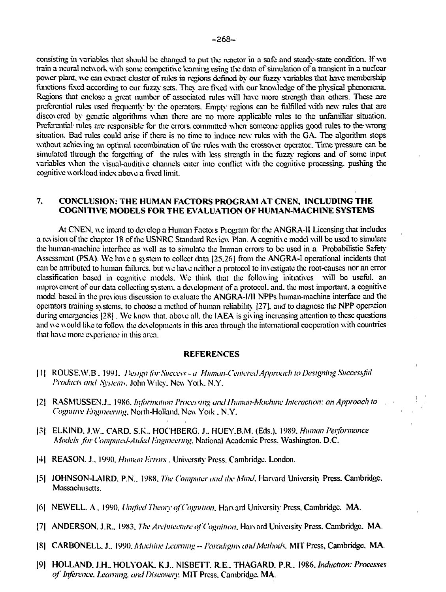consisting in variables that should be changed to put the reactor in a safe and steady-state condition. If we train a neural network with some compctith e learning using the data of simulation of a transient in a nuclear power plant, wc can extract cluster of rules in regions defined by our fuzzy variables that have membership functions fixed according to our fuzzy sets. They are fixed with our knowledge of the physical phenomena. Regions that enclose a great number of associated rules will have more strength than others. These arc preferential rules used frequently by the operators. Empty regions can be fulfilled with new rules that are discovered by genetic algorithms when there are no more applicable rules to the unfamiliar situation. Preferential rules are responsible for the errors, committed when someone applies good rules, to the wrong situation. Bad rules could arise if there is no time to induce new rules with the GA. The algorithm stops without achieving an optimal recombination of the rules with the crossover operator. Time pressure can be simulated through the forgetting of the rules with less strength in the fuzzy regions and of some input variables when the visual-auditive channels enter into conflict with the cognitive processing, pushing the cognitive w orkload index abo\ e a fixed limit.

# **7. CONCLUSION: THE HUMAN FACTORS PROGRAM AT CNEN, INCLUDING THE COGNITIVE MODELS FOR THE EVALUATION OF HUMAN-MACHINE SYSTEMS**

At CNEN, we intend to develop a Human Factors Program for the ANGRA-II Licensing that includes a revision of the chapter 18 of the USNRC Standard Review Plan. A cognitiv e model will be used to simulate the human-machine interface as well as to simulate the human errors to be used in a Probabilistic Safety Assessment (PSA). We have a system to collect data 125.261 from the ANGRA-1 operational incidents that can be attributed to human failures, but we hav e neither a protocol to inv estigate the root-causes nor an error classification based in cognitive models. We think that the following initiatives will be useful, an improvement of our data collecting svstcm. a development of a protocol, and. the most important, a cognitive model based in the previous discussion to evaluate the ANGRA-I/1I NPPs human-machine interface and the operators training systems, to choose a method of human reliability |27], and to diagnose the NPP operation during emergencies [28]. We know that, above all, the IAEA is giving increasing attention to these questions and we would like to follow the developments in this area through the international cooperation with countries that have more experience in this area.

#### **REFERENCES**

- 111 ROUSE.W.B . 1991. *Design for Success a Human-Centered Approach to Designing Successfiil Products ami Systems.* John Wiley. New York. N.Y.
- |2| RASMUSSENJ.. 1986. *Information Processing and Human-Machine Interaction: an Approach to Cognitive Engineering.* North-Holland. New Yoik. N.Y.
- | 3 | ELKIND. J.W.. CARD. S.K.. HOCHBERG. J.. HUEY.B.M. (Eds.). 1989. *Human Performance Models for Computed-Aided I-jiginccnng.* National Academic Press. Washington. D.C.
- |4| REASON. J.. 1990. *Human Errors.* University Press. Cambridge. London.
- |5| JOHNSON-LAIRD. P.N.. 1988. *The Computer and the Mind.* Harvard University Press. Cambridge. Massachusetts.
- |6| NEWELL. A. 1990. *Unified Theory of Cognition.* Harvard University Press. Cambridge. MA.
- [7| ANDERSON. J.R.. 1983. *The Architecture of Cognition.* Harvard Univeisity Press. Cambridge. MA.
- |8| CARBONELL. J.. 1990. *Machine Learning Paradigms and Methods.* MIT Press, Cambridge. MA.
- 19| HOLLAND. J.H.. HOLYOAK. K.J.. NISBETT. RE.. THAGARD. PR.. 1986. *Induction: Processes of Inference. Learning, and Discovery.* MIT Press. Cambridge. MA.